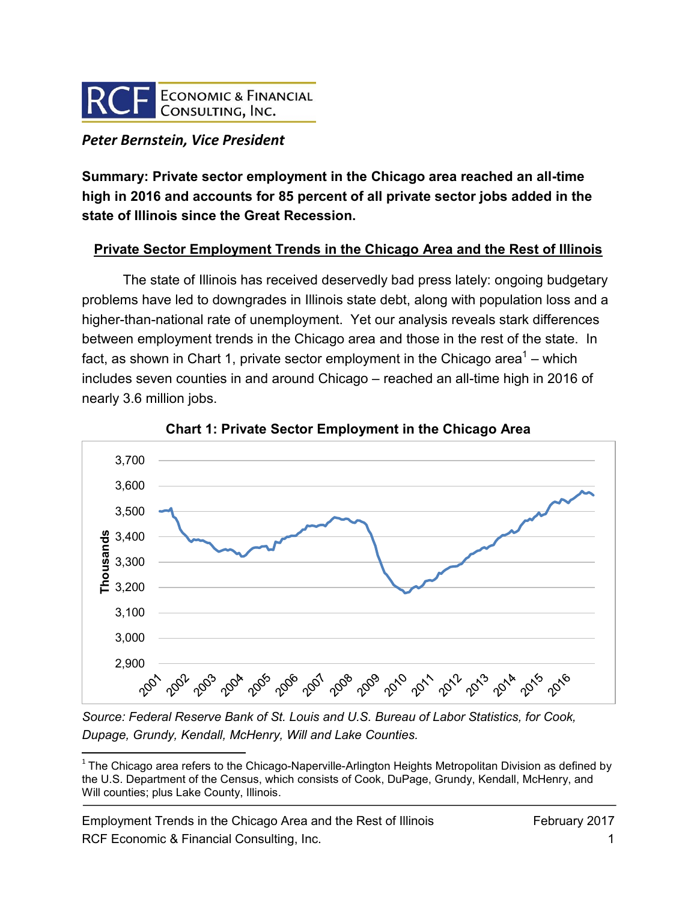

## *Peter Bernstein, Vice President*

**Summary: Private sector employment in the Chicago area reached an all-time high in 2016 and accounts for 85 percent of all private sector jobs added in the state of Illinois since the Great Recession.** 

## **Private Sector Employment Trends in the Chicago Area and the Rest of Illinois**

The state of Illinois has received deservedly bad press lately: ongoing budgetary problems have led to downgrades in Illinois state debt, along with population loss and a higher-than-national rate of unemployment. Yet our analysis reveals stark differences between employment trends in the Chicago area and those in the rest of the state. In fact, as shown in Chart 1, private sector employment in the Chicago area<sup>1</sup> – which includes seven counties in and around Chicago – reached an all-time high in 2016 of nearly 3.6 million jobs.





*Source: Federal Reserve Bank of St. Louis and U.S. Bureau of Labor Statistics, for Cook, Dupage, Grundy, Kendall, McHenry, Will and Lake Counties.*

Employment Trends in the Chicago Area and the Rest of Illinois February 2017 RCF Economic & Financial Consulting, Inc. 1

 $\overline{\phantom{a}}$  $1$  The Chicago area refers to the Chicago-Naperville-Arlington Heights Metropolitan Division as defined by the U.S. Department of the Census, which consists of Cook, DuPage, Grundy, Kendall, McHenry, and Will counties; plus Lake County, Illinois.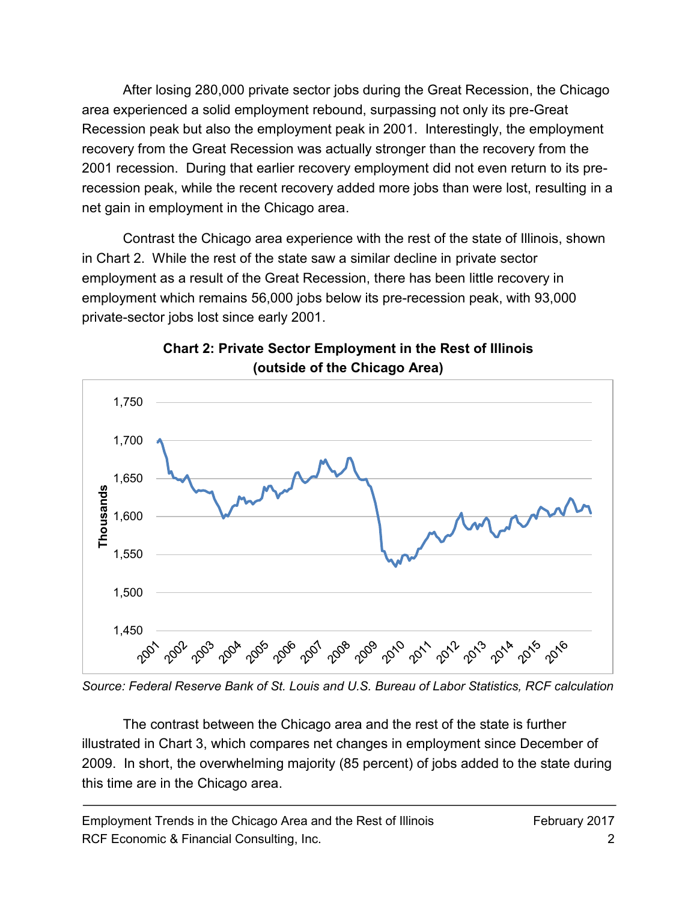After losing 280,000 private sector jobs during the Great Recession, the Chicago area experienced a solid employment rebound, surpassing not only its pre-Great Recession peak but also the employment peak in 2001. Interestingly, the employment recovery from the Great Recession was actually stronger than the recovery from the 2001 recession. During that earlier recovery employment did not even return to its prerecession peak, while the recent recovery added more jobs than were lost, resulting in a net gain in employment in the Chicago area.

Contrast the Chicago area experience with the rest of the state of Illinois, shown in Chart 2. While the rest of the state saw a similar decline in private sector employment as a result of the Great Recession, there has been little recovery in employment which remains 56,000 jobs below its pre-recession peak, with 93,000 private-sector jobs lost since early 2001.



## **Chart 2: Private Sector Employment in the Rest of Illinois (outside of the Chicago Area)**

*Source: Federal Reserve Bank of St. Louis and U.S. Bureau of Labor Statistics, RCF calculation*

The contrast between the Chicago area and the rest of the state is further illustrated in Chart 3, which compares net changes in employment since December of 2009. In short, the overwhelming majority (85 percent) of jobs added to the state during this time are in the Chicago area.

Employment Trends in the Chicago Area and the Rest of Illinois February 2017 RCF Economic & Financial Consulting, Inc. 2014 2016 2017 2022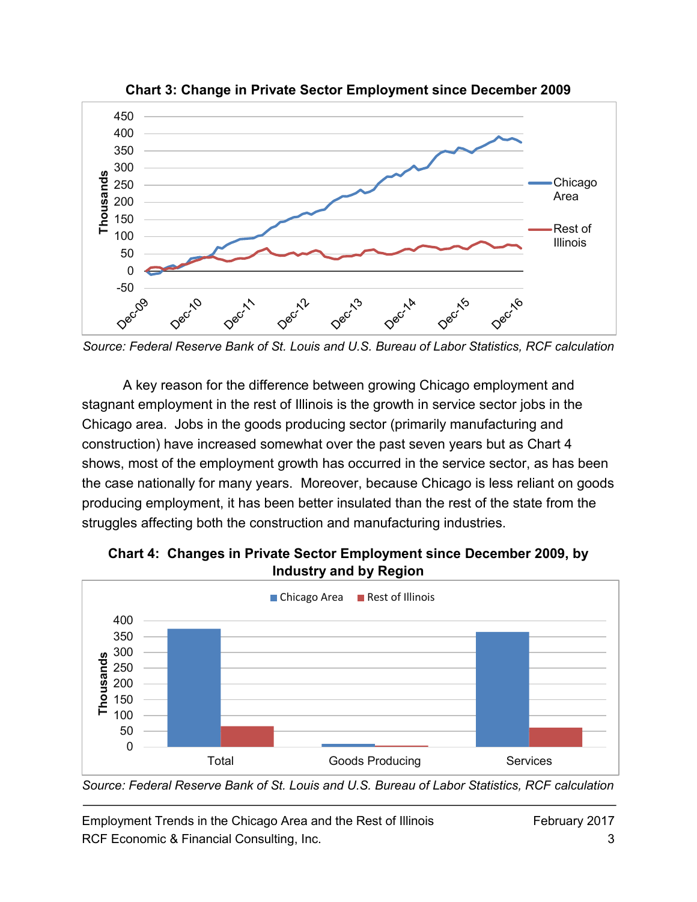

**Chart 3: Change in Private Sector Employment since December 2009**

*Source: Federal Reserve Bank of St. Louis and U.S. Bureau of Labor Statistics, RCF calculation*

A key reason for the difference between growing Chicago employment and stagnant employment in the rest of Illinois is the growth in service sector jobs in the Chicago area. Jobs in the goods producing sector (primarily manufacturing and construction) have increased somewhat over the past seven years but as Chart 4 shows, most of the employment growth has occurred in the service sector, as has been the case nationally for many years. Moreover, because Chicago is less reliant on goods producing employment, it has been better insulated than the rest of the state from the struggles affecting both the construction and manufacturing industries.



**Chart 4: Changes in Private Sector Employment since December 2009, by Industry and by Region**

*Source: Federal Reserve Bank of St. Louis and U.S. Bureau of Labor Statistics, RCF calculation*

Employment Trends in the Chicago Area and the Rest of Illinois February 2017 RCF Economic & Financial Consulting, Inc. 33